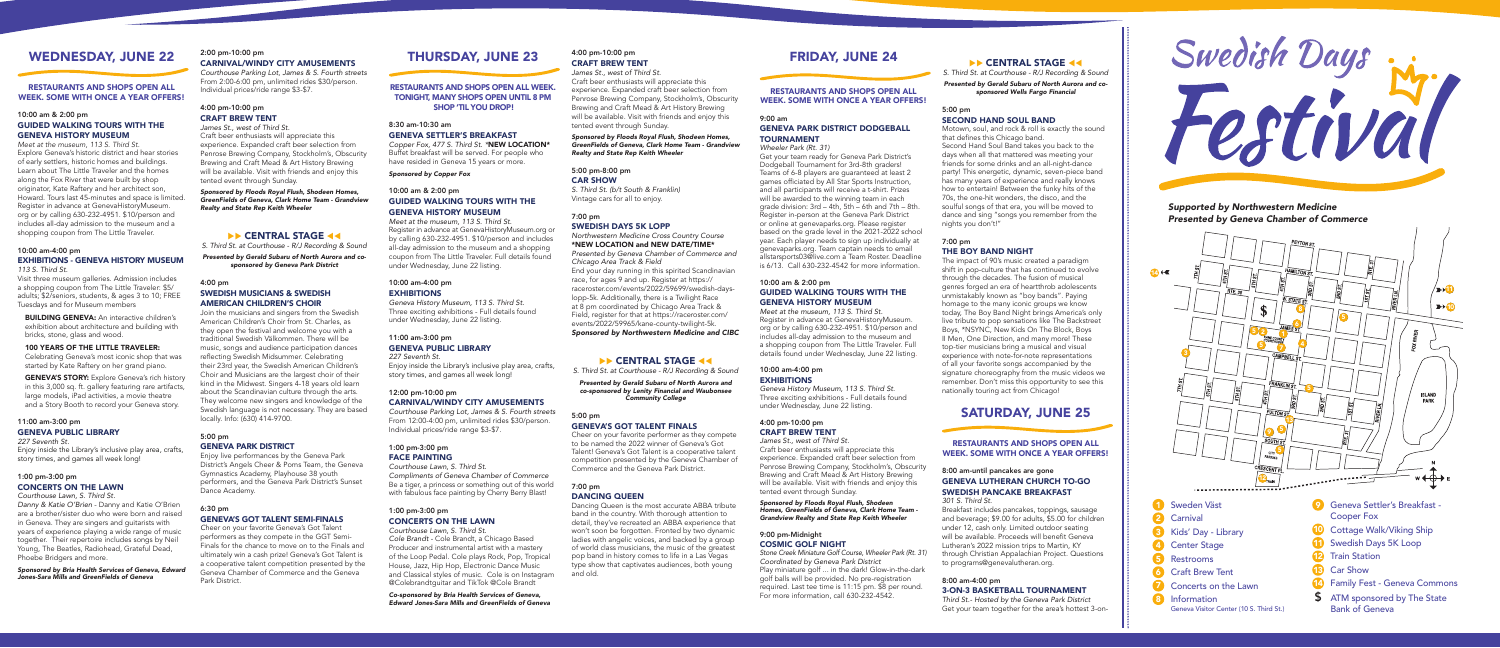Information - Geneva Visitor

8

# WEDNESDAY, JUNE 22

#### RESTAURANTS AND SHOPS OPEN ALL WEEK. SOME WITH ONCE A YEAR OFFERS!

10:00 am & 2:00 pm

# GUIDED WALKING TOURS WITH THE GENEVA HISTORY MUSEUM

**BUILDING GENEVA:** An interactive children's exhibition about architecture and building with bricks, stone, glass and wood.

**GENEVA'S STORY:** Explore Geneva's rich history in this 3,000 sq. ft. gallery featuring rare artifacts, large models, iPad activities, a movie theatre and a Story Booth to record your Geneva story.

*Meet at the museum, 113 S. Third St.* Explore Geneva's historic district and hear stories of early settlers, historic homes and buildings. Learn about The Little Traveler and the homes along the Fox River that were built by shop originator, Kate Raftery and her architect son, Howard. Tours last 45-minutes and space is limited. Register in advance at GenevaHistoryMuseum. org or by calling 630-232-4951. \$10/person and includes all-day admission to the museum and a shopping coupon from The Little Traveler.

# 10:00 am-4:00 pm EXHIBITIONS - GENEVA HISTORY MUSEUM

*113 S. Third St.*

Visit three museum galleries. Admission includes a shopping coupon from The Little Traveler: \$5/ adults; \$2/seniors, students, & ages 3 to 10; FREE Tuesdays and for Museum members

#### 100 YEARS OF THE LITTLE TRAVELER:

Celebrating Geneva's most iconic shop that was started by Kate Raftery on her grand piano.

# 11:00 am-3:00 pm GENEVA PUBLIC LIBRARY

# *227 Seventh St.*

Enjoy inside the Library's inclusive play area, crafts, story times, and games all week long!

# 1:00 pm-3:00 pm CONCERTS ON THE LAWN

*Courthouse Lawn, S. Third St.*

*Danny & Katie O'Brien* - Danny and Katie O'Brien are a brother/sister duo who were born and raised in Geneva. They are singers and guitarists with years of experience playing a wide range of music together. Their repertoire includes songs by Neil Young, The Beatles, Radiohead, Grateful Dead, Phoebe Bridgers and more.

*Sponsored by Bria Health Services of Geneva, Edward Jones-Sara Mills and GreenFields of Geneva*

# 2:00 pm-10:00 pm CARNIVAL/WINDY CITY AMUSEMENTS

# 10:00 am-4:00 pm **EXHIBITIONS**

*Courthouse Parking Lot*, *James & S. Fourth streets* From 2:00-6:00 pm, unlimited rides \$30/person. Individual prices/ride range \$3-\$7.

# 4:00 pm-10:00 pm CRAFT BREW TENT

*James St., west of Third St.* Craft beer enthusiasts will appreciate this experience. Expanded craft beer selection from Penrose Brewing Company, Stockholm's, Obscurity Brewing and Craft Mead & Art History Brewing will be available. Visit with friends and enjoy this tented event through Sunday.

*Sponsored by Floods Royal Flush, Shodeen Homes, GreenFields of Geneva, Clark Home Team - Grandview Realty and State Rep Keith Wheeler* 

# **EXAMPLE STAGE 44**

*S. Third St. at Courthouse - R/J Recording & Sound*

*Presented by Gerald Subaru of North Aurora and cosponsored by Geneva Park District*

### 4:00 pm

#### SWEDISH MUSICIANS & SWEDISH AMERICAN CHILDREN'S CHOIR

Join the musicians and singers from the Swedish American Children's Choir from St. Charles, as they open the festival and welcome you with a traditional Swedish Välkommen. There will be music, songs and audience participation dances reflecting Swedish Midsummer. Celebrating their 23rd year, the Swedish American Children's Choir and Musicians are the largest choir of their kind in the Midwest. Singers 4-18 years old learn about the Scandinavian culture through the arts. They welcome new singers and knowledge of the Swedish language is not necessary. They are based locally. Info: (630) 414-9700.

#### 5:00 pm GENEVA PARK DISTRICT

Enjoy live performances by the Geneva Park District's Angels Cheer & Poms Team, the Geneva Gymnastics Academy, Playhouse 38 youth performers, and the Geneva Park District's Sunset Dance Academy.

#### 6:30 pm GENEVA'S GOT TALENT SEMI-FINALS

*C*heer on your favorite Geneva's Got Talent performers as they compete in the GGT Semi-Finals for the chance to move on to the Finals and ultimately win a cash prize! Geneva's Got Talent is a cooperative talent competition presented by the Geneva Chamber of Commerce and the Geneva Park District.

# THURSDAY, JUNE 23

#### RESTAURANTS AND SHOPS OPEN ALL WEEK. TONIGHT, MANY SHOPS OPEN UNTIL 8 PM SHOP 'TIL YOU DROP!

8:30 am-10:30 am GENEVA SETTLER'S BREAKFAST

#### 10:00 am-4:00 pm **EXHIBITIONS**

*Copper Fox, 477 S. Third St. \**NEW LOCATION\* Buffet breakfast will be served. For people who have resided in Geneva 15 years or more.

*Sponsored by Copper Fox*

# 10:00 am & 2:00 pm GUIDED WALKING TOURS WITH THE GENEVA HISTORY MUSEUM

*Meet at the museum, 113 S. Third St.* Register in advance at GenevaHistoryMuseum.org or by calling 630-232-4951. \$10/person and includes all-day admission to the museum and a shopping coupon from The Little Traveler. Full details found under Wednesday, June 22 listing.

*Geneva History Museum, 113 S. Third St.* Three exciting exhibitions - Full details found under Wednesday, June 22 listing.

# 11:00 am-3:00 pm

GENEVA PUBLIC LIBRARY *227 Seventh St.*

Enjoy inside the Library's inclusive play area, crafts, story times, and games all week long!

## 12:00 pm-10:00 pm CARNIVAL/WINDY CITY AMUSEMENTS

*Courthouse Parking Lot, James & S. Fourth streets* From 12:00-4:00 pm, unlimited rides \$30/person. Individual prices/ride range \$3-\$7.

#### 1:00 pm-3:00 pm

## FACE PAINTING

*Courthouse Lawn, S. Third St. Compliments of Geneva Chamber of Commerce* Be a tiger, a princess or something out of this world with fabulous face painting by Cherry Berry Blast!

# 1:00 pm-3:00 pm CONCERTS ON THE LAWN

*Courthouse Lawn, S. Third St. Cole Brandt -* Cole Brandt, a Chicago Based Producer and instrumental artist with a mastery of the Loop Pedal. Cole plays Rock, Pop, Tropical House, Jazz, Hip Hop, Electronic Dance Music and Classical styles of music. Cole is on Instagram @Colebrandtguitar and TikTok @Cole Brandt

*Co-sponsored by Bria Health Services of Geneva, Edward Jones-Sara Mills and GreenFields of Geneva*

### 4:00 pm-10:00 pm CRAFT BREW TENT

*James St., west of Third St.* Craft beer enthusiasts will appreciate this experience. Expanded craft beer selection from

Penrose Brewing Company, Stockholm's, Obscurity Brewing and Craft Mead & Art History Brewing will be available. Visit with friends and enjoy this tented event through Sunday.

*Sponsored by Floods Royal Flush, Shodeen Homes, GreenFields of Geneva, Clark Home Team - Grandview Realty and State Rep Keith Wheeler* 

# 5:00 pm-8:00 pm CAR SHOW

*S. Third St. (b/t South & Franklin)* Vintage cars for all to enjoy.

# 7:00 pm

# SWEDISH DAYS 5K LOPP

*Northwestern Medicine Cross Country Course* \*NEW LOCATION and NEW DATE/TIME\* *Presented by Geneva Chamber of Commerce and Chicago Area Track & Field*  End your day running in this spirited Scandinavian race, for ages 9 and up. Register at https:// raceroster.com/events/2022/59699/swedish-dayslopp-5k. Additionally, there is a Twilight Race at 8 pm coordinated by Chicago Area Track & Field, register for that at https://raceroster.com/ events/2022/59965/kane-county-twilight-5k.

*Sponsored by Northwestern Medicine and CIBC*

# **EXAMPLE STAGE 44**

*S. Third St. at Courthouse - R/J Recording & Sound*

*Presented by Gerald Subaru of North Aurora and co-sponsored by Lenity Financial and Waubonsee Community College*

#### 5:00 pm

# GENEVA'S GOT TALENT FINALS

Cheer on your favorite performer as they compete to be named the 2022 winner of Geneva's Got Talent! Geneva's Got Talent is a cooperative talent competition presented by the Geneva Chamber of Commerce and the Geneva Park District.

# 7:00 pm DANCING QUEEN

Dancing Queen is the most accurate ABBA tribute band in the country. With thorough attention to detail, they've recreated an ABBA experience that won't soon be forgotten. Fronted by two dynamic ladies with angelic voices, and backed by a group of world class musicians, the music of the greatest pop band in history comes to life in a Las Vegas type show that captivates audiences, both young and old.

# FRIDAY, JUNE 24

### RESTAURANTS AND SHOPS OPEN ALL WEEK. SOME WITH ONCE A YEAR OFFERS!

9:00 am

# GENEVA PARK DISTRICT DODGEBALL TOURNAMENT

*Wheeler Park (Rt. 31)*  Get your team ready for Geneva Park District's Dodgeball Tournament for 3rd-8th graders! Teams of 6-8 players are guaranteed at least 2 games officiated by All Star Sports Instruction, and all participants will receive a t-shirt. Prizes will be awarded to the winning team in each grade division: 3rd – 4th, 5th – 6th and 7th – 8th. Register in-person at the Geneva Park District or online at genevaparks.org. Please register based on the grade level in the 2021-2022 school year. Each player needs to sign up individually at genevaparks.org. Team captain needs to email allstarsports03@live.com a Team Roster. Deadline is 6/13. Call 630-232-4542 for more information.

# 10:00 am & 2:00 pm GUIDED WALKING TOURS WITH THE GENEVA HISTORY MUSEUM

*Meet at the museum, 113 S. Third St.* Register in advance at GenevaHistoryMuseum. org or by calling 630-232-4951. \$10/person and includes all-day admission to the museum and a shopping coupon from The Little Traveler. Full details found under Wednesday, June 22 listing.

*Geneva History Museum, 113 S. Third St.* Three exciting exhibitions - Full details found under Wednesday, June 22 listing.

# 4:00 pm-10:00 pm CRAFT BREW TENT

*James St., west of Third St.* Craft beer enthusiasts will appreciate this experience. Expanded craft beer selection from Penrose Brewing Company, Stockholm's, Obscurity Brewing and Craft Mead & Art History Brewing will be available. Visit with friends and enjoy this tented event through Sunday.

*Sponsored by Floods Royal Flush, Shodeen Homes, GreenFields of Geneva, Clark Home Team - Grandview Realty and State Rep Keith Wheeler* 

#### 9:00 pm-Midnight COSMIC GOLF NIGHT

*Stone Creek Miniature Golf Course, Wheeler Park (Rt. 31) Coordinated by Geneva Park District* Play miniature golf ... in the dark! Glow-in-the-dark golf balls will be provided. No pre-registration required. Last tee time is 11:15 pm. \$8 per round. For more information, call 630-232-4542.

# **EXAMPLE STAGE 44**

*S. Third St. at Courthouse - R/J Recording & Sound Presented by Gerald Subaru of North Aurora and co-*

*sponsored Wells Fargo Financial*

#### 5:00 pm SECOND HAND SOUL BAND

Motown, soul, and rock & roll is exactly the sound that defines this Chicago band. Second Hand Soul Band takes you back to the days when all that mattered was meeting your friends for some drinks and an all-night-dance party! This energetic, dynamic, seven-piece band has many years of experience and really knows how to entertain! Between the funky hits of the 70s, the one-hit wonders, the disco, and the soulful songs of that era, you will be moved to dance and sing "songs you remember from the nights you don't!"

# 7:00 pm

# THE BOY BAND NIGHT

The impact of 90's music created a paradigm shift in pop-culture that has continued to evolve through the decades. The fusion of musical genres forged an era of heartthrob adolescents unmistakably known as "boy bands". Paying homage to the many iconic groups we know today, The Boy Band Night brings America's only live tribute to pop sensations like The Backstreet Boys, \*NSYNC, New Kids On The Block, Boys II Men, One Direction, and many more! These top-tier musicians bring a musical and visual experience with note-for-note representations of all your favorite songs accompanied by the signature choreography from the music videos we remember. Don't miss this opportunity to see this nationally touring act from Chicago!

# SATURDAY, JUNE 25

#### RESTAURANTS AND SHOPS OPEN ALL WEEK. SOME WITH ONCE A YEAR OFFERS!

# 8:00 am-until pancakes are gone GENEVA LUTHERAN CHURCH TO-GO SWEDISH PANCAKE BREAKFAST

*301 S. Third St.*

Breakfast includes pancakes, toppings, sausage and beverage; \$9.00 for adults, \$5.00 for children under 12, cash only. Limited outdoor seating will be available. Proceeds will benefit Geneva Lutheran's 2022 mission trips to Martin, KY through Christian Appalachian Project. Questions to programs@genevalutheran.org.

#### 8:00 am-4:00 pm 3-ON-3 BASKETBALL TOURNAMENT

*Third St.- Hosted by the Geneva Park District* Get your team together for the area's hottest 3-on-





#### *Supported by Northwestern Medicine Presented by Geneva Chamber of Commerce*